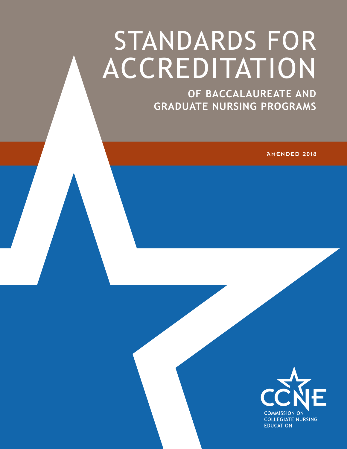# STANDARDS FOR **ACCREDITATION**

**OF BACCALAUREATE AND GRADUATE NURSING PROGRAMS**

AMENDED 2018

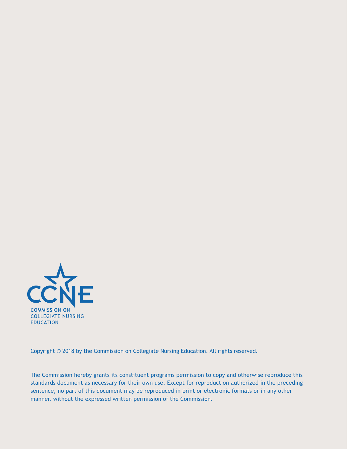

Copyright © 2018 by the Commission on Collegiate Nursing Education. All rights reserved.

The Commission hereby grants its constituent programs permission to copy and otherwise reproduce this standards document as necessary for their own use. Except for reproduction authorized in the preceding sentence, no part of this document may be reproduced in print or electronic formats or in any other manner, without the expressed written permission of the Commission.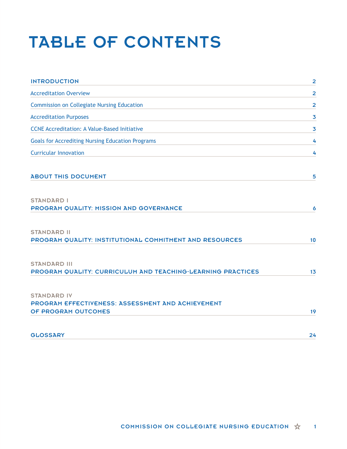# TABLE OF CONTENTS

| <b>INTRODUCTION</b>                                                                            | $\overline{\mathbf{2}}$ |
|------------------------------------------------------------------------------------------------|-------------------------|
| <b>Accreditation Overview</b>                                                                  | $\overline{\mathbf{2}}$ |
| <b>Commission on Collegiate Nursing Education</b>                                              | 2                       |
| <b>Accreditation Purposes</b>                                                                  | 3                       |
| <b>CCNE Accreditation: A Value-Based Initiative</b>                                            | 3                       |
| <b>Goals for Accrediting Nursing Education Programs</b>                                        | 4                       |
| <b>Curricular Innovation</b>                                                                   | 4                       |
| <b>ABOUT THIS DOCUMENT</b>                                                                     | 5                       |
| <b>STANDARD I</b><br>PROGRAM QUALITY: MISSION AND GOVERNANCE                                   | 6                       |
| <b>STANDARD II</b><br>PROGRAM QUALITY: INSTITUTIONAL COMMITMENT AND RESOURCES                  | 10                      |
| <b>STANDARD III</b><br>PROGRAM QUALITY: CURRICULUM AND TEACHING-LEARNING PRACTICES             | 13                      |
| <b>STANDARD IV</b><br>PROGRAM EFFECTIVENESS: ASSESSMENT AND ACHIEVEMENT<br>OF PROGRAM OUTCOMES | 19                      |
| <b>GLOSSARY</b>                                                                                | 24                      |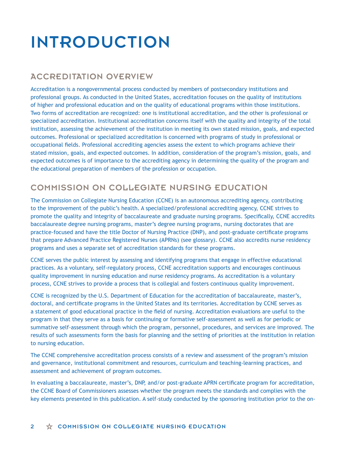# INTRODUCTION

# ACCREDITATION OVERVIEW

Accreditation is a nongovernmental process conducted by members of postsecondary institutions and professional groups. As conducted in the United States, accreditation focuses on the quality of institutions of higher and professional education and on the quality of educational programs within those institutions. Two forms of accreditation are recognized: one is institutional accreditation, and the other is professional or specialized accreditation. Institutional accreditation concerns itself with the quality and integrity of the total institution, assessing the achievement of the institution in meeting its own stated mission, goals, and expected outcomes. Professional or specialized accreditation is concerned with programs of study in professional or occupational fields. Professional accrediting agencies assess the extent to which programs achieve their stated mission, goals, and expected outcomes. In addition, consideration of the program's mission, goals, and expected outcomes is of importance to the accrediting agency in determining the quality of the program and the educational preparation of members of the profession or occupation.

# COMMISSION ON COLLEGIATE NURSING EDUCATION

The Commission on Collegiate Nursing Education (CCNE) is an autonomous accrediting agency, contributing to the improvement of the public's health. A specialized/professional accrediting agency, CCNE strives to promote the quality and integrity of baccalaureate and graduate nursing programs. Specifically, CCNE accredits baccalaureate degree nursing programs, master's degree nursing programs, nursing doctorates that are practice-focused and have the title Doctor of Nursing Practice (DNP), and post-graduate certificate programs that prepare Advanced Practice Registered Nurses (APRNs) (see glossary). CCNE also accredits nurse residency programs and uses a separate set of accreditation standards for these programs.

CCNE serves the public interest by assessing and identifying programs that engage in effective educational practices. As a voluntary, self-regulatory process, CCNE accreditation supports and encourages continuous quality improvement in nursing education and nurse residency programs. As accreditation is a voluntary process, CCNE strives to provide a process that is collegial and fosters continuous quality improvement.

CCNE is recognized by the U.S. Department of Education for the accreditation of baccalaureate, master's, doctoral, and certificate programs in the United States and its territories. Accreditation by CCNE serves as a statement of good educational practice in the field of nursing. Accreditation evaluations are useful to the program in that they serve as a basis for continuing or formative self-assessment as well as for periodic or summative self-assessment through which the program, personnel, procedures, and services are improved. The results of such assessments form the basis for planning and the setting of priorities at the institution in relation to nursing education.

The CCNE comprehensive accreditation process consists of a review and assessment of the program's mission and governance, institutional commitment and resources, curriculum and teaching-learning practices, and assessment and achievement of program outcomes.

In evaluating a baccalaureate, master's, DNP, and/or post-graduate APRN certificate program for accreditation, the CCNE Board of Commissioners assesses whether the program meets the standards and complies with the key elements presented in this publication. A self-study conducted by the sponsoring institution prior to the on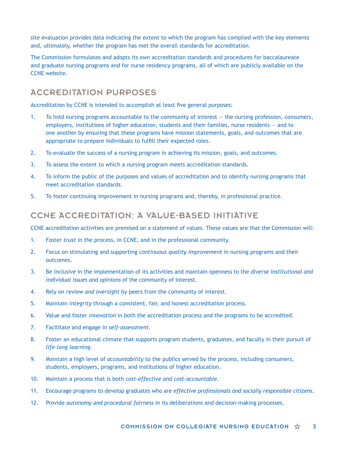site evaluation provides data indicating the extent to which the program has complied with the key elements and, ultimately, whether the program has met the overall standards for accreditation.

The Commission formulates and adopts its own accreditation standards and procedures for baccalaureate and graduate nursing programs and for nurse residency programs, all of which are publicly available on the CCNE website.

# ACCREDITATION PURPOSES

Accreditation by CCNE is intended to accomplish at least five general purposes:

- 1. To hold nursing programs accountable to the community of interest the nursing profession, consumers, employers, institutions of higher education, students and their families, nurse residents — and to one another by ensuring that these programs have mission statements, goals, and outcomes that are appropriate to prepare individuals to fulfill their expected roles.
- 2. To evaluate the success of a nursing program in achieving its mission, goals, and outcomes.
- 3. To assess the extent to which a nursing program meets accreditation standards.
- 4. To inform the public of the purposes and values of accreditation and to identify nursing programs that meet accreditation standards.
- 5. To foster continuing improvement in nursing programs and, thereby, in professional practice.

# CCNE ACCREDITATION: A VALUE-BASED INITIATIVE

CCNE accreditation activities are premised on a statement of values. These values are that the Commission will:

- 1. Foster *trust* in the process, in CCNE, and in the professional community.
- 2. Focus on stimulating and supporting *continuous quality improvement* in nursing programs and their outcomes.
- 3. Be *inclusive* in the implementation of its activities and maintain openness to the *diverse institutional and individual issues and opinions* of the community of interest.
- 4. Rely on *review and oversight* by peers from the community of interest.
- 5. Maintain *integrity* through a consistent, fair, and honest accreditation process.
- 6. Value and foster *innovation* in both the accreditation process and the programs to be accredited.
- 7. Facilitate and engage in *self-assessment*.
- 8. Foster an educational climate that supports program students, graduates, and faculty in their pursuit of *life-long learning*.
- 9. Maintain a high level of *accountability* to the publics served by the process, including consumers, students, employers, programs, and institutions of higher education.
- 10. Maintain a process that is both *cost-effective and cost-accountable*.
- 11. Encourage programs to develop graduates who are *effective professionals and socially responsible citizens*.
- 12. Provide *autonomy and procedural fairness* in its deliberations and decision-making processes.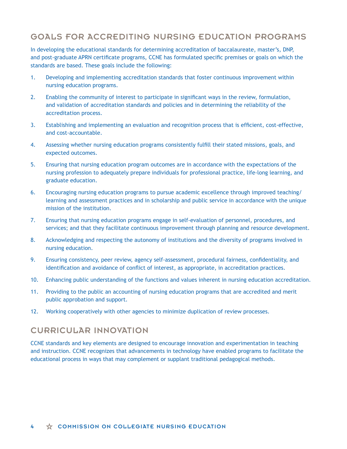# GOALS FOR ACCREDITING NURSING EDUCATION PROGRAMS

In developing the educational standards for determining accreditation of baccalaureate, master's, DNP, and post-graduate APRN certificate programs, CCNE has formulated specific premises or goals on which the standards are based. These goals include the following:

- 1. Developing and implementing accreditation standards that foster continuous improvement within nursing education programs.
- 2. Enabling the community of interest to participate in significant ways in the review, formulation, and validation of accreditation standards and policies and in determining the reliability of the accreditation process.
- 3. Establishing and implementing an evaluation and recognition process that is efficient, cost-effective, and cost-accountable.
- 4. Assessing whether nursing education programs consistently fulfill their stated missions, goals, and expected outcomes.
- 5. Ensuring that nursing education program outcomes are in accordance with the expectations of the nursing profession to adequately prepare individuals for professional practice, life-long learning, and graduate education.
- 6. Encouraging nursing education programs to pursue academic excellence through improved teaching/ learning and assessment practices and in scholarship and public service in accordance with the unique mission of the institution.
- 7. Ensuring that nursing education programs engage in self-evaluation of personnel, procedures, and services; and that they facilitate continuous improvement through planning and resource development.
- 8. Acknowledging and respecting the autonomy of institutions and the diversity of programs involved in nursing education.
- 9. Ensuring consistency, peer review, agency self-assessment, procedural fairness, confidentiality, and identification and avoidance of conflict of interest, as appropriate, in accreditation practices.
- 10. Enhancing public understanding of the functions and values inherent in nursing education accreditation.
- 11. Providing to the public an accounting of nursing education programs that are accredited and merit public approbation and support.
- 12. Working cooperatively with other agencies to minimize duplication of review processes.

### CURRICULAR INNOVATION

CCNE standards and key elements are designed to encourage innovation and experimentation in teaching and instruction. CCNE recognizes that advancements in technology have enabled programs to facilitate the educational process in ways that may complement or supplant traditional pedagogical methods.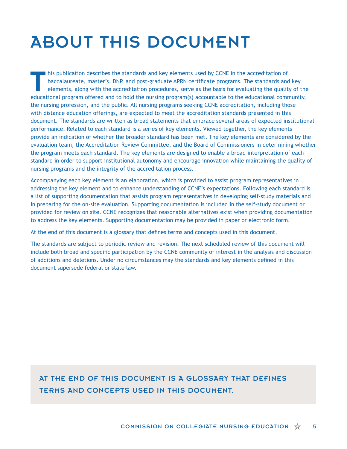# ABOUT THIS DOCUMENT

This publication describes the standards and key elements used by CCNE in the accreditation of baccalaureate, master's, DNP, and post-graduate APRN certificate programs. The standards and elements, along with the accredita baccalaureate, master's, DNP, and post-graduate APRN certificate programs. The standards and key elements, along with the accreditation procedures, serve as the basis for evaluating the quality of the educational program offered and to hold the nursing program(s) accountable to the educational community, the nursing profession, and the public. All nursing programs seeking CCNE accreditation, including those with distance education offerings, are expected to meet the accreditation standards presented in this document. The standards are written as broad statements that embrace several areas of expected institutional performance. Related to each standard is a series of key elements. Viewed together, the key elements provide an indication of whether the broader standard has been met. The key elements are considered by the evaluation team, the Accreditation Review Committee, and the Board of Commissioners in determining whether the program meets each standard. The key elements are designed to enable a broad interpretation of each standard in order to support institutional autonomy and encourage innovation while maintaining the quality of nursing programs and the integrity of the accreditation process.

Accompanying each key element is an elaboration, which is provided to assist program representatives in addressing the key element and to enhance understanding of CCNE's expectations. Following each standard is a list of supporting documentation that assists program representatives in developing self-study materials and in preparing for the on-site evaluation. Supporting documentation is included in the self-study document or provided for review on site. CCNE recognizes that reasonable alternatives exist when providing documentation to address the key elements. Supporting documentation may be provided in paper or electronic form.

At the end of this document is a glossary that defines terms and concepts used in this document.

The standards are subject to periodic review and revision. The next scheduled review of this document will include both broad and specific participation by the CCNE community of interest in the analysis and discussion of additions and deletions. Under no circumstances may the standards and key elements defined in this document supersede federal or state law.

# AT THE END OF THIS DOCUMENT IS A GLOSSARY THAT DEFINES TERMS AND CONCEPTS USED IN THIS DOCUMENT.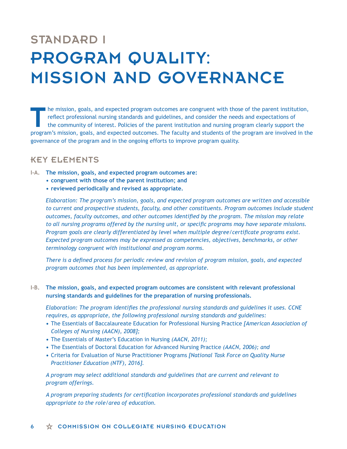# STANDARD I PROGRAM QUALITY: MISSION AND GOVERNANCE

I he mission, goals, and expected program outcomes are congruent with those of the parent institution, reflect professional nursing standards and guidelines, and consider the needs and expectations of the community of interest. Policies of the parent institution and nursing program clearly support the program's mission, goals, and expected outcomes. The faculty and students of the program are involved in the governance of the program and in the ongoing efforts to improve program quality.

# KEY ELEMENTS

- **I-A. The mission, goals, and expected program outcomes are:**
	- **• congruent with those of the parent institution; and**
	- **• reviewed periodically and revised as appropriate.**

*Elaboration: The program's mission, goals, and expected program outcomes are written and accessible to current and prospective students, faculty, and other constituents. Program outcomes include student outcomes, faculty outcomes, and other outcomes identified by the program. The mission may relate to all nursing programs offered by the nursing unit, or specific programs may have separate missions. Program goals are clearly differentiated by level when multiple degree/certificate programs exist. Expected program outcomes may be expressed as competencies, objectives, benchmarks, or other terminology congruent with institutional and program norms.*

*There is a defined process for periodic review and revision of program mission, goals, and expected program outcomes that has been implemented, as appropriate.* 

### **I-B. The mission, goals, and expected program outcomes are consistent with relevant professional nursing standards and guidelines for the preparation of nursing professionals.**

*Elaboration: The program identifies the professional nursing standards and guidelines it uses. CCNE requires*, *as appropriate, the following professional nursing standards and guidelines:*

- **•** The Essentials of Baccalaureate Education for Professional Nursing Practice *[American Association of Colleges of Nursing (AACN), 2008];*
- **•** The Essentials of Master's Education in Nursing *(AACN, 2011);*
- **•** The Essentials of Doctoral Education for Advanced Nursing Practice *(AACN, 2006); and*
- **•** Criteria for Evaluation of Nurse Practitioner Programs *[National Task Force on Quality Nurse Practitioner Education (NTF), 2016].*

*A program may select additional standards and guidelines that are current and relevant to program offerings.*

*A program preparing students for certification incorporates professional standards and guidelines appropriate to the role/area of education.*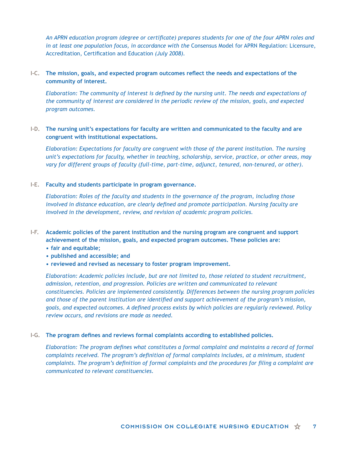*An APRN education program (degree or certificate) prepares students for one of the four APRN roles and in at least one population focus, in accordance with the Consensus Model for APRN Regulation: Licensure,* Accreditation, Certification and Education *(July 2008).*

### **I-C. The mission, goals, and expected program outcomes reflect the needs and expectations of the community of interest.**

*Elaboration: The community of interest is defined by the nursing unit. The needs and expectations of the community of interest are considered in the periodic review of the mission, goals, and expected program outcomes.* 

### **I-D. The nursing unit's expectations for faculty are written and communicated to the faculty and are congruent with institutional expectations.**

*Elaboration: Expectations for faculty are congruent with those of the parent institution. The nursing unit's expectations for faculty, whether in teaching, scholarship, service, practice, or other areas, may vary for different groups of faculty (full-time, part-time, adjunct, tenured, non-tenured, or other).* 

### **I-E. Faculty and students participate in program governance.**

*Elaboration: Roles of the faculty and students in the governance of the program, including those involved in distance education, are clearly defined and promote participation. Nursing faculty are involved in the development, review, and revision of academic program policies.*

- **I-F. Academic policies of the parent institution and the nursing program are congruent and support achievement of the mission, goals, and expected program outcomes. These policies are:**
	- **• fair and equitable;**
	- **• published and accessible; and**
	- **• reviewed and revised as necessary to foster program improvement.**

*Elaboration: Academic policies include, but are not limited to, those related to student recruitment, admission, retention, and progression. Policies are written and communicated to relevant constituencies. Policies are implemented consistently. Differences between the nursing program policies and those of the parent institution are identified and support achievement of the program's mission, goals, and expected outcomes. A defined process exists by which policies are regularly reviewed. Policy review occurs, and revisions are made as needed.*

### **I-G. The program defines and reviews formal complaints according to established policies.**

*Elaboration: The program defines what constitutes a formal complaint and maintains a record of formal complaints received. The program's definition of formal complaints includes, at a minimum, student complaints. The program's definition of formal complaints and the procedures for filing a complaint are communicated to relevant constituencies.*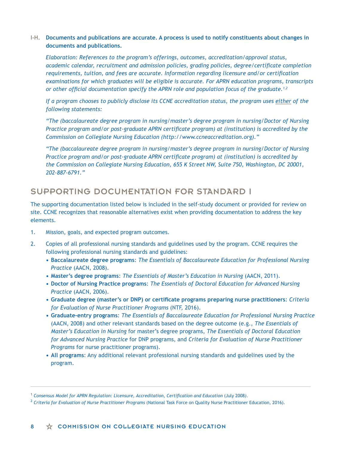### **I-H. Documents and publications are accurate. A process is used to notify constituents about changes in documents and publications.**

*Elaboration: References to the program's offerings, outcomes, accreditation/approval status, academic calendar, recruitment and admission policies, grading policies, degree/certificate completion requirements, tuition, and fees are accurate. Information regarding licensure and/or certification examinations for which graduates will be eligible is accurate. For APRN education programs, transcripts or other official documentation specify the APRN role and population focus of the graduate.1,2*

*If a program chooses to publicly disclose its CCNE accreditation status, the program uses either of the following statements:*

*"The (baccalaureate degree program in nursing/master's degree program in nursing/Doctor of Nursing Practice program and/or post-graduate APRN certificate program) at (institution) is accredited by the Commission on Collegiate Nursing Education (http://www.ccneaccreditation.org)."*

*"The (baccalaureate degree program in nursing/master's degree program in nursing/Doctor of Nursing Practice program and/or post-graduate APRN certificate program) at (institution) is accredited by the Commission on Collegiate Nursing Education, 655 K Street NW, Suite 750, Washington, DC 20001, 202-887-6791."*

# SUPPORTING DOCUMENTATION FOR STANDARD I

The supporting documentation listed below is included in the self-study document or provided for review on site. CCNE recognizes that reasonable alternatives exist when providing documentation to address the key elements.

- 1. Mission, goals, and expected program outcomes.
- 2. Copies of all professional nursing standards and guidelines used by the program. CCNE requires the following professional nursing standards and guidelines:
	- **• Baccalaureate degree programs**: *The Essentials of Baccalaureate Education for Professional Nursing Practice* (AACN, 2008).
	- **• Master's degree programs**: *The Essentials of Master's Education in Nursing* (AACN, 2011).
	- **• Doctor of Nursing Practice programs**: *The Essentials of Doctoral Education for Advanced Nursing Practice* (AACN, 2006).
	- **• Graduate degree (master's or DNP) or certificate programs preparing nurse practitioners**: *Criteria for Evaluation of Nurse Practitioner Programs* (NTF, 2016).
	- **• Graduate-entry programs**: *The Essentials of Baccalaureate Education for Professional Nursing Practice*  (AACN, 2008) and other relevant standards based on the degree outcome (e.g., *The Essentials of Master's Education in Nursing* for master's degree programs, *The Essentials of Doctoral Education for Advanced Nursing Practice* for DNP programs, and *Criteria for Evaluation of Nurse Practitioner Programs* for nurse practitioner programs).
	- **• All programs**: Any additional relevant professional nursing standards and guidelines used by the program.

<sup>&</sup>lt;sup>1</sup> Consensus Model for APRN Regulation: Licensure, Accreditation, Certification and Education (July 2008).

<sup>2</sup>  *Criteria for Evaluation of Nurse Practitioner Programs* (National Task Force on Quality Nurse Practitioner Education, 2016)*.*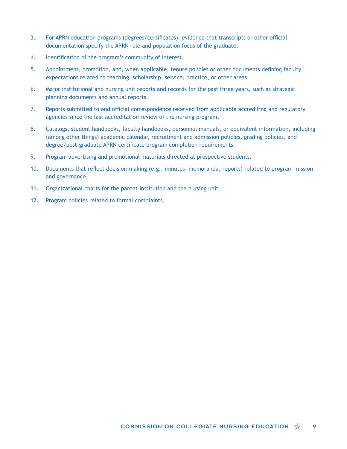- 3. For APRN education programs (degrees/certificates), evidence that transcripts or other official documentation specify the APRN role and population focus of the graduate.
- 4. Identification of the program's community of interest.
- 5. Appointment, promotion, and, when applicable, tenure policies or other documents defining faculty expectations related to teaching, scholarship, service, practice, or other areas.
- 6. Major institutional and nursing unit reports and records for the past three years, such as strategic planning documents and annual reports.
- 7. Reports submitted to and official correspondence received from applicable accrediting and regulatory agencies since the last accreditation review of the nursing program.
- 8. Catalogs, student handbooks, faculty handbooks, personnel manuals, or equivalent information, including (among other things) academic calendar, recruitment and admission policies, grading policies, and degree/post-graduate APRN certificate program completion requirements.
- 9. Program advertising and promotional materials directed at prospective students.
- 10. Documents that reflect decision-making (e.g., minutes, memoranda, reports) related to program mission and governance.
- 11. Organizational charts for the parent institution and the nursing unit.
- 12. Program policies related to formal complaints.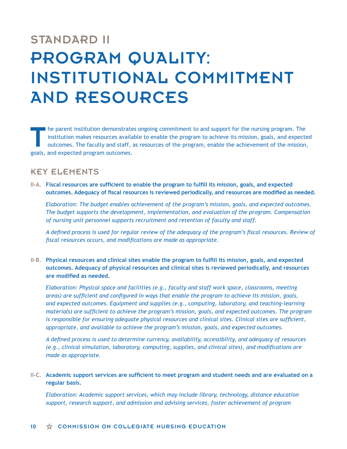# STANDARD II PROGRAM QUALITY: INSTITUTIONAL COMMITMENT AND RESOURCES

The parent institution demonstrates ongoing commitment to and support for the nursing program. The institution makes resources available to enable the program to achieve its mission, goals, and expected outcomes. The facul institution makes resources available to enable the program to achieve its mission, goals, and expected outcomes. The faculty and staff, as resources of the program, enable the achievement of the mission, goals, and expected program outcomes.

# KEY ELEMENTS

**II-A. Fiscal resources are sufficient to enable the program to fulfill its mission, goals, and expected outcomes. Adequacy of fiscal resources is reviewed periodically, and resources are modified as needed.**

*Elaboration: The budget enables achievement of the program's mission, goals, and expected outcomes. The budget supports the development, implementation, and evaluation of the program. Compensation of nursing unit personnel supports recruitment and retention of faculty and staff.* 

*A defined process is used for regular review of the adequacy of the program's fiscal resources. Review of fiscal resources occurs, and modifications are made as appropriate.*

**II-B. Physical resources and clinical sites enable the program to fulfill its mission, goals, and expected outcomes. Adequacy of physical resources and clinical sites is reviewed periodically, and resources are modified as needed.**

*Elaboration: Physical space and facilities (e.g., faculty and staff work space, classrooms, meeting areas) are sufficient and configured in ways that enable the program to achieve its mission, goals, and expected outcomes. Equipment and supplies (e.g., computing, laboratory, and teaching-learning materials) are sufficient to achieve the program's mission, goals, and expected outcomes. The program is responsible for ensuring adequate physical resources and clinical sites. Clinical sites are sufficient, appropriate, and available to achieve the program's mission, goals, and expected outcomes.* 

*A defined process is used to determine currency, availability, accessibility, and adequacy of resources (e.g., clinical simulation, laboratory, computing, supplies, and clinical sites), and modifications are made as appropriate.*

### **II-C. Academic support services are sufficient to meet program and student needs and are evaluated on a regular basis.**

*Elaboration: Academic support services, which may include library, technology, distance education support, research support, and admission and advising services, foster achievement of program*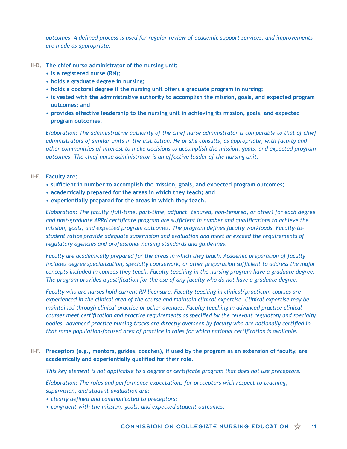*outcomes. A defined process is used for regular review of academic support services, and improvements are made as appropriate.*

- **II-D. The chief nurse administrator of the nursing unit:** 
	- **• is a registered nurse (RN);**
	- **• holds a graduate degree in nursing;**
	- **• holds a doctoral degree if the nursing unit offers a graduate program in nursing;**
	- **• is vested with the administrative authority to accomplish the mission, goals, and expected program outcomes; and**
	- **• provides effective leadership to the nursing unit in achieving its mission, goals, and expected program outcomes.**

*Elaboration: The administrative authority of the chief nurse administrator is comparable to that of chief administrators of similar units in the institution. He or she consults, as appropriate, with faculty and other communities of interest to make decisions to accomplish the mission, goals, and expected program outcomes. The chief nurse administrator is an effective leader of the nursing unit.* 

- **II-E. Faculty are:** 
	- **• sufficient in number to accomplish the mission, goals, and expected program outcomes;**
	- **• academically prepared for the areas in which they teach; and**
	- **• experientially prepared for the areas in which they teach.**

*Elaboration: The faculty (full-time, part-time, adjunct, tenured, non-tenured, or other) for each degree and post-graduate APRN certificate program are sufficient in number and qualifications to achieve the mission, goals, and expected program outcomes. The program defines faculty workloads. Faculty-tostudent ratios provide adequate supervision and evaluation and meet or exceed the requirements of regulatory agencies and professional nursing standards and guidelines.* 

*Faculty are academically prepared for the areas in which they teach. Academic preparation of faculty includes degree specialization, specialty coursework, or other preparation sufficient to address the major concepts included in courses they teach. Faculty teaching in the nursing program have a graduate degree. The program provides a justification for the use of any faculty who do not have a graduate degree.* 

*Faculty who are nurses hold current RN licensure. Faculty teaching in clinical/practicum courses are experienced in the clinical area of the course and maintain clinical expertise. Clinical expertise may be maintained through clinical practice or other avenues. Faculty teaching in advanced practice clinical courses meet certification and practice requirements as specified by the relevant regulatory and specialty bodies. Advanced practice nursing tracks are directly overseen by faculty who are nationally certified in that same population-focused area of practice in roles for which national certification is available.*

### **II-F. Preceptors (e.g., mentors, guides, coaches), if used by the program as an extension of faculty, are academically and experientially qualified for their role.**

*This key element is not applicable to a degree or certificate program that does not use preceptors.* 

*Elaboration: The roles and performance expectations for preceptors with respect to teaching, supervision, and student evaluation are:*

- *• clearly defined and communicated to preceptors;*
- *• congruent with the mission, goals, and expected student outcomes;*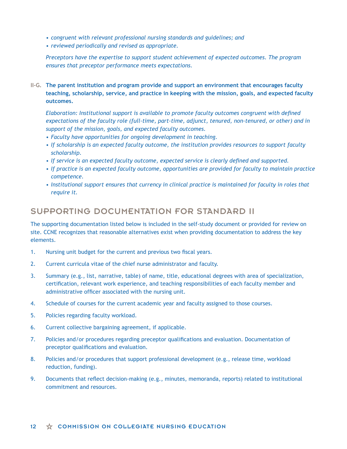- *• congruent with relevant professional nursing standards and guidelines; and*
- *• reviewed periodically and revised as appropriate.*

*Preceptors have the expertise to support student achievement of expected outcomes. The program ensures that preceptor performance meets expectations.*

**II-G. The parent institution and program provide and support an environment that encourages faculty teaching, scholarship, service, and practice in keeping with the mission, goals, and expected faculty outcomes.** 

*Elaboration: Institutional support is available to promote faculty outcomes congruent with defined expectations of the faculty role (full-time, part-time, adjunct, tenured, non-tenured, or other) and in support of the mission, goals, and expected faculty outcomes.* 

- *• Faculty have opportunities for ongoing development in teaching.*
- *• If scholarship is an expected faculty outcome, the institution provides resources to support faculty scholarship.*
- *• If service is an expected faculty outcome, expected service is clearly defined and supported.*
- *• If practice is an expected faculty outcome, opportunities are provided for faculty to maintain practice competence.*
- Institutional support ensures that currency in clinical practice is maintained for faculty in roles that *require it.*

# SUPPORTING DOCUMENTATION FOR STANDARD II

The supporting documentation listed below is included in the self-study document or provided for review on site. CCNE recognizes that reasonable alternatives exist when providing documentation to address the key elements.

- 1. Nursing unit budget for the current and previous two fiscal years.
- 2. Current curricula vitae of the chief nurse administrator and faculty.
- 3. Summary (e.g., list, narrative, table) of name, title, educational degrees with area of specialization, certification, relevant work experience, and teaching responsibilities of each faculty member and administrative officer associated with the nursing unit.
- 4. Schedule of courses for the current academic year and faculty assigned to those courses.
- 5. Policies regarding faculty workload.
- 6. Current collective bargaining agreement, if applicable.
- 7. Policies and/or procedures regarding preceptor qualifications and evaluation. Documentation of preceptor qualifications and evaluation.
- 8. Policies and/or procedures that support professional development (e.g., release time, workload reduction, funding).
- 9. Documents that reflect decision-making (e.g., minutes, memoranda, reports) related to institutional commitment and resources.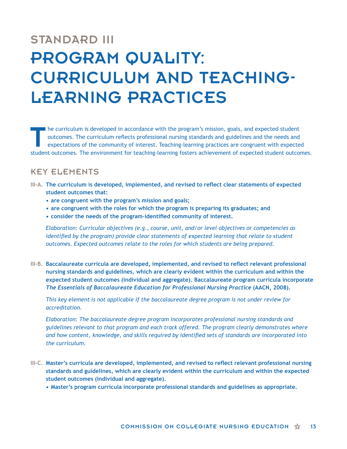# STANDARD III PROGRAM QUALITY: CURRICULUM AND TEACHING-LEARNING PRACTICES

The curriculum is developed in accordance with the program's mission, goals, and expected student<br>outcomes. The curriculum reflects professional nursing standards and guidelines and the needs and<br>expectations of the commun outcomes. The curriculum reflects professional nursing standards and guidelines and the needs and expectations of the community of interest. Teaching-learning practices are congruent with expected student outcomes. The environment for teaching-learning fosters achievement of expected student outcomes.

# KEY ELEMENTS

- **III-A. The curriculum is developed, implemented, and revised to reflect clear statements of expected student outcomes that:**
	- **• are congruent with the program's mission and goals;**
	- **• are congruent with the roles for which the program is preparing its graduates; and**
	- **• consider the needs of the program–identified community of interest.**

*Elaboration: Curricular objectives (e.g., course, unit, and/or level objectives or competencies as identified by the program) provide clear statements of expected learning that relate to student outcomes. Expected outcomes relate to the roles for which students are being prepared.* 

**III-B. Baccalaureate curricula are developed, implemented, and revised to reflect relevant professional nursing standards and guidelines, which are clearly evident within the curriculum and within the expected student outcomes (individual and aggregate). Baccalaureate program curricula incorporate**  *The Essentials of Baccalaureate Education for Professional Nursing Practice* **(AACN, 2008).**

*This key element is not applicable if the baccalaureate degree program is not under review for accreditation.*

*Elaboration: The baccalaureate degree program incorporates professional nursing standards and guidelines relevant to that program and each track offered. The program clearly demonstrates where and how content, knowledge, and skills required by identified sets of standards are incorporated into the curriculum.* 

- **III-C. Master's curricula are developed, implemented, and revised to reflect relevant professional nursing standards and guidelines, which are clearly evident within the curriculum and within the expected student outcomes (individual and aggregate).**
	- **• Master's program curricula incorporate professional standards and guidelines as appropriate.**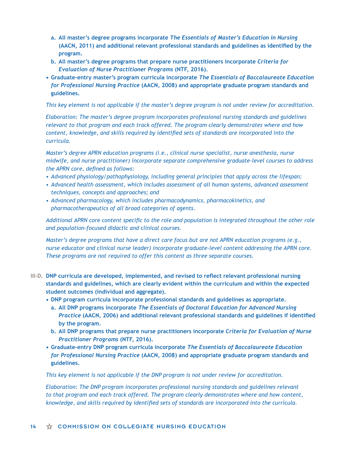- **a. All master's degree programs incorporate** *The Essentials of Master's Education in Nursing* **(AACN, 2011) and additional relevant professional standards and guidelines as identified by the program.**
- **b. All master's degree programs that prepare nurse practitioners incorporate** *Criteria for Evaluation of Nurse Practitioner Programs* **(NTF, 2016).**
- **• Graduate-entry master's program curricula incorporate** *The Essentials of Baccalaureate Education for Professional Nursing Practice* **(AACN, 2008) and appropriate graduate program standards and guidelines.**

*This key element is not applicable if the master's degree program is not under review for accreditation.*

*Elaboration: The master's degree program incorporates professional nursing standards and guidelines relevant to that program and each track offered. The program clearly demonstrates where and how content, knowledge, and skills required by identified sets of standards are incorporated into the curricula.* 

*Master's degree APRN education programs (i.e., clinical nurse specialist, nurse anesthesia, nurse midwife, and nurse practitioner) incorporate separate comprehensive graduate-level courses to address the APRN core, defined as follows:*

- *• Advanced physiology/pathophysiology, including general principles that apply across the lifespan;*
- *• Advanced health assessment, which includes assessment of all human systems, advanced assessment techniques, concepts and approaches; and*
- *• Advanced pharmacology, which includes pharmacodynamics, pharmacokinetics, and pharmacotherapeutics of all broad categories of agents.*

*Additional APRN core content specific to the role and population is integrated throughout the other role and population-focused didactic and clinical courses.* 

*Master's degree programs that have a direct care focus but are not APRN education programs (e.g., nurse educator and clinical nurse leader) incorporate graduate-level content addressing the APRN core. These programs are not required to offer this content as three separate courses.*

- **III-D. DNP curricula are developed, implemented, and revised to reflect relevant professional nursing standards and guidelines, which are clearly evident within the curriculum and within the expected student outcomes (individual and aggregate).**
	- **• DNP program curricula incorporate professional standards and guidelines as appropriate.**
	- **a. All DNP programs incorporate** *The Essentials of Doctoral Education for Advanced Nursing Practice* **(AACN, 2006) and additional relevant professional standards and guidelines if identified by the program.**
	- **b. All DNP programs that prepare nurse practitioners incorporate** *Criteria for Evaluation of Nurse Practitioner Programs* **(NTF, 2016).**
	- **• Graduate-entry DNP program curricula incorporate** *The Essentials of Baccalaureate Education for Professional Nursing Practice* **(AACN, 2008) and appropriate graduate program standards and guidelines.**

*This key element is not applicable if the DNP program is not under review for accreditation.* 

*Elaboration: The DNP program incorporates professional nursing standards and guidelines relevant to that program and each track offered. The program clearly demonstrates where and how content, knowledge, and skills required by identified sets of standards are incorporated into the curricula.*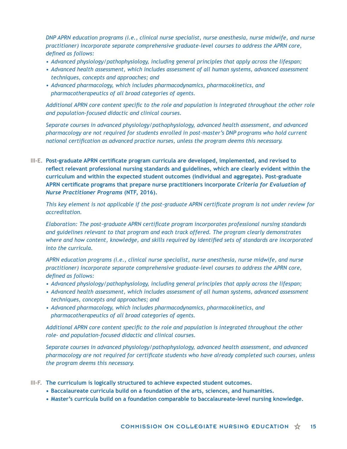*DNP APRN education programs (i.e., clinical nurse specialist, nurse anesthesia, nurse midwife, and nurse practitioner) incorporate separate comprehensive graduate-level courses to address the APRN core, defined as follows:*

- *• Advanced physiology/pathophysiology, including general principles that apply across the lifespan;*
- *• Advanced health assessment, which includes assessment of all human systems, advanced assessment techniques, concepts and approaches; and*
- *• Advanced pharmacology, which includes pharmacodynamics, pharmacokinetics, and pharmacotherapeutics of all broad categories of agents.*

*Additional APRN core content specific to the role and population is integrated throughout the other role and population-focused didactic and clinical courses.* 

*Separate courses in advanced physiology/pathophysiology, advanced health assessment, and advanced pharmacology are not required for students enrolled in post-master's DNP programs who hold current national certification as advanced practice nurses, unless the program deems this necessary.*

**III-E. Post-graduate APRN certificate program curricula are developed, implemented, and revised to reflect relevant professional nursing standards and guidelines, which are clearly evident within the curriculum and within the expected student outcomes (individual and aggregate). Post-graduate APRN certificate programs that prepare nurse practitioners incorporate** *Criteria for Evaluation of Nurse Practitioner Programs* **(NTF, 2016).**

*This key element is not applicable if the post-graduate APRN certificate program is not under review for accreditation.*

*Elaboration: The post-graduate APRN certificate program incorporates professional nursing standards and guidelines relevant to that program and each track offered. The program clearly demonstrates where and how content, knowledge, and skills required by identified sets of standards are incorporated into the curricula.* 

*APRN education programs (i.e., clinical nurse specialist, nurse anesthesia, nurse midwife, and nurse practitioner) incorporate separate comprehensive graduate-level courses to address the APRN core, defined as follows:*

- *• Advanced physiology/pathophysiology, including general principles that apply across the lifespan;*
- *• Advanced health assessment, which includes assessment of all human systems, advanced assessment techniques, concepts and approaches; and*
- *• Advanced pharmacology, which includes pharmacodynamics, pharmacokinetics, and pharmacotherapeutics of all broad categories of agents.*

*Additional APRN core content specific to the role and population is integrated throughout the other role- and population-focused didactic and clinical courses.* 

*Separate courses in advanced physiology/pathophysiology, advanced health assessment, and advanced pharmacology are not required for certificate students who have already completed such courses, unless the program deems this necessary.*

- **III-F. The curriculum is logically structured to achieve expected student outcomes.**
	- **• Baccalaureate curricula build on a foundation of the arts, sciences, and humanities.**
	- **• Master's curricula build on a foundation comparable to baccalaureate-level nursing knowledge.**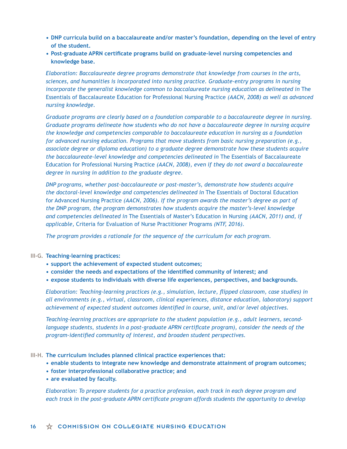- **• DNP curricula build on a baccalaureate and/or master's foundation, depending on the level of entry of the student.**
- **• Post-graduate APRN certificate programs build on graduate-level nursing competencies and knowledge base.**

*Elaboration: Baccalaureate degree programs demonstrate that knowledge from courses in the arts, sciences, and humanities is incorporated into nursing practice. Graduate-entry programs in nursing incorporate the generalist knowledge common to baccalaureate nursing education as delineated in* The Essentials of Baccalaureate Education for Professional Nursing Practice *(AACN, 2008) as well as advanced nursing knowledge.* 

*Graduate programs are clearly based on a foundation comparable to a baccalaureate degree in nursing. Graduate programs delineate how students who do not have a baccalaureate degree in nursing acquire the knowledge and competencies comparable to baccalaureate education in nursing as a foundation for advanced nursing education. Programs that move students from basic nursing preparation (e.g., associate degree or diploma education) to a graduate degree demonstrate how these students acquire the baccalaureate-level knowledge and competencies delineated in* The Essentials of Baccalaureate Education for Professional Nursing Practice *(AACN, 2008), even if they do not award a baccalaureate degree in nursing in addition to the graduate degree.* 

*DNP programs, whether post-baccalaureate or post-master's, demonstrate how students acquire the doctoral-level knowledge and competencies delineated in* The Essentials of Doctoral Education for Advanced Nursing Practice *(AACN, 2006). If the program awards the master's degree as part of the DNP program, the program demonstrates how students acquire the master's-level knowledge and competencies delineated in* The Essentials of Master's Education in Nursing *(AACN, 2011) and, if applicable,* Criteria for Evaluation of Nurse Practitioner Programs *(NTF, 2016).*

*The program provides a rationale for the sequence of the curriculum for each program.* 

### **III-G. Teaching-learning practices:**

- **• support the achievement of expected student outcomes;**
- **• consider the needs and expectations of the identified community of interest; and**
- **• expose students to individuals with diverse life experiences, perspectives, and backgrounds.**

*Elaboration: Teaching-learning practices (e.g., simulation, lecture, flipped classroom, case studies) in all environments (e.g., virtual, classroom, clinical experiences, distance education, laboratory) support achievement of expected student outcomes identified in course, unit, and/or level objectives.* 

*Teaching-learning practices are appropriate to the student population (e.g., adult learners, second*language students, students in a post-graduate APRN certificate program), consider the needs of the *program-identified community of interest, and broaden student perspectives.* 

- **III-H. The curriculum includes planned clinical practice experiences that:**
	- **• enable students to integrate new knowledge and demonstrate attainment of program outcomes;**
	- **• foster interprofessional collaborative practice; and**
	- **• are evaluated by faculty.**

*Elaboration: To prepare students for a practice profession, each track in each degree program and each track in the post-graduate APRN certificate program affords students the opportunity to develop*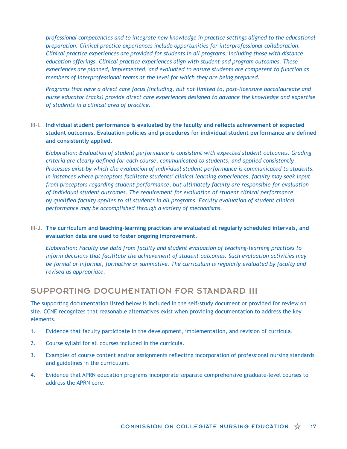*professional competencies and to integrate new knowledge in practice settings aligned to the educational preparation. Clinical practice experiences include opportunities for interprofessional collaboration. Clinical practice experiences are provided for students in all programs, including those with distance education offerings. Clinical practice experiences align with student and program outcomes. These experiences are planned, implemented, and evaluated to ensure students are competent to function as members of interprofessional teams at the level for which they are being prepared.*

*Programs that have a direct care focus (including, but not limited to, post-licensure baccalaureate and nurse educator tracks) provide direct care experiences designed to advance the knowledge and expertise of students in a clinical area of practice.* 

### **III-I. Individual student performance is evaluated by the faculty and reflects achievement of expected student outcomes. Evaluation policies and procedures for individual student performance are defined and consistently applied.**

*Elaboration: Evaluation of student performance is consistent with expected student outcomes. Grading criteria are clearly defined for each course, communicated to students, and applied consistently. Processes exist by which the evaluation of individual student performance is communicated to students. In instances where preceptors facilitate students' clinical learning experiences, faculty may seek input from preceptors regarding student performance, but ultimately faculty are responsible for evaluation of individual student outcomes. The requirement for evaluation of student clinical performance by qualified faculty applies to all students in all programs. Faculty evaluation of student clinical performance may be accomplished through a variety of mechanisms.*

**III-J. The curriculum and teaching-learning practices are evaluated at regularly scheduled intervals, and evaluation data are used to foster ongoing improvement.**

*Elaboration: Faculty use data from faculty and student evaluation of teaching-learning practices to inform decisions that facilitate the achievement of student outcomes. Such evaluation activities may be formal or informal, formative or summative. The curriculum is regularly evaluated by faculty and revised as appropriate.* 

### SUPPORTING DOCUMENTATION FOR STANDARD III

The supporting documentation listed below is included in the self-study document or provided for review on site. CCNE recognizes that reasonable alternatives exist when providing documentation to address the key elements.

- 1. Evidence that faculty participate in the development, implementation, and revision of curricula.
- 2. Course syllabi for all courses included in the curricula.
- 3. Examples of course content and/or assignments reflecting incorporation of professional nursing standards and guidelines in the curriculum.
- 4. Evidence that APRN education programs incorporate separate comprehensive graduate-level courses to address the APRN core.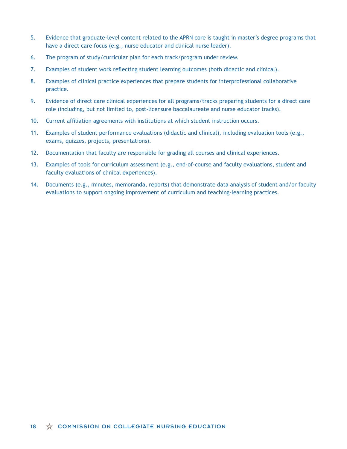- 5. Evidence that graduate-level content related to the APRN core is taught in master's degree programs that have a direct care focus (e.g., nurse educator and clinical nurse leader).
- 6. The program of study/curricular plan for each track/program under review.
- 7. Examples of student work reflecting student learning outcomes (both didactic and clinical).
- 8. Examples of clinical practice experiences that prepare students for interprofessional collaborative practice.
- 9. Evidence of direct care clinical experiences for all programs/tracks preparing students for a direct care role (including, but not limited to, post-licensure baccalaureate and nurse educator tracks).
- 10. Current affiliation agreements with institutions at which student instruction occurs.
- 11. Examples of student performance evaluations (didactic and clinical), including evaluation tools (e.g., exams, quizzes, projects, presentations).
- 12. Documentation that faculty are responsible for grading all courses and clinical experiences.
- 13. Examples of tools for curriculum assessment (e.g., end-of-course and faculty evaluations, student and faculty evaluations of clinical experiences).
- 14. Documents (e.g., minutes, memoranda, reports) that demonstrate data analysis of student and/or faculty evaluations to support ongoing improvement of curriculum and teaching-learning practices.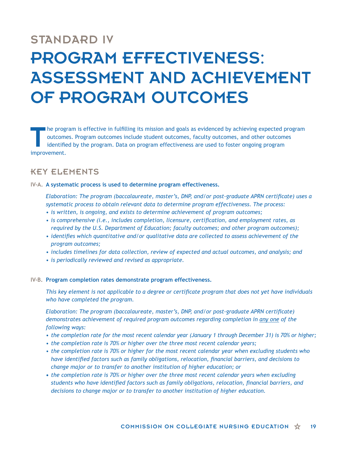# STANDARD IV PROGRAM EFFECTIVENESS: ASSESSMENT AND ACHIEVEMENT OF PROGRAM OUTCOMES

The program is effective in fulfilling its mission and goals as evidenced by achieving expected program outcomes. Program outcomes include student outcomes, faculty outcomes, and other outcomes identified by the program. D outcomes. Program outcomes include student outcomes, faculty outcomes, and other outcomes identified by the program. Data on program effectiveness are used to foster ongoing program improvement.

# KEY ELEMENTS

### **IV-A. A systematic process is used to determine program effectiveness.**

*Elaboration: The program (baccalaureate, master's, DNP, and/or post-graduate APRN certificate) uses a systematic process to obtain relevant data to determine program effectiveness. The process:*

- *• is written, is ongoing, and exists to determine achievement of program outcomes;*
- *• is comprehensive (i.e., includes completion, licensure, certification, and employment rates, as required by the U.S. Department of Education; faculty outcomes; and other program outcomes);*
- *• identifies which quantitative and/or qualitative data are collected to assess achievement of the program outcomes;*
- *• includes timelines for data collection, review of expected and actual outcomes, and analysis; and*
- *• is periodically reviewed and revised as appropriate.*

### **IV-B. Program completion rates demonstrate program effectiveness.**

*This key element is not applicable to a degree or certificate program that does not yet have individuals who have completed the program.* 

*Elaboration: The program (baccalaureate, master's, DNP, and/or post-graduate APRN certificate) demonstrates achievement of required program outcomes regarding completion in any one of the following ways:*

- *• the completion rate for the most recent calendar year (January 1 through December 31) is 70% or higher;*
- *• the completion rate is 70% or higher over the three most recent calendar years;*
- *• the completion rate is 70% or higher for the most recent calendar year when excluding students who have identified factors such as family obligations, relocation, financial barriers, and decisions to change major or to transfer to another institution of higher education; or*
- **•** *the completion rate is 70% or higher over the three most recent calendar years when excluding students who have identified factors such as family obligations, relocation, financial barriers, and decisions to change major or to transfer to another institution of higher education.*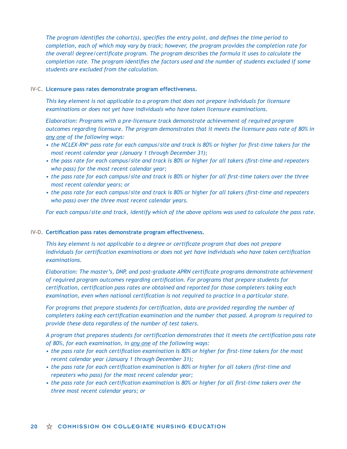*The program identifies the cohort(s), specifies the entry point, and defines the time period to completion, each of which may vary by track; however, the program provides the completion rate for the overall degree/certificate program. The program describes the formula it uses to calculate the completion rate. The program identifies the factors used and the number of students excluded if some students are excluded from the calculation.*

#### **IV-C. Licensure pass rates demonstrate program effectiveness.**

*This key element is not applicable to a program that does not prepare individuals for licensure examinations or does not yet have individuals who have taken licensure examinations.* 

*Elaboration: Programs with a pre-licensure track demonstrate achievement of required program outcomes regarding licensure. The program demonstrates that it meets the licensure pass rate of 80% in any one of the following ways:*

- *• the NCLEX-RN® pass rate for each campus/site and track is 80% or higher for first-time takers for the most recent calendar year (January 1 through December 31);*
- *• the pass rate for each campus/site and track is 80% or higher for all takers (first-time and repeaters who pass) for the most recent calendar year;*
- *• the pass rate for each campus/site and track is 80% or higher for all first-time takers over the three most recent calendar years; or*
- *• the pass rate for each campus/site and track is 80% or higher for all takers (first-time and repeaters who pass) over the three most recent calendar years.*

*For each campus/site and track, identify which of the above options was used to calculate the pass rate.*

### **IV-D. Certification pass rates demonstrate program effectiveness.**

*This key element is not applicable to a degree or certificate program that does not prepare individuals for certification examinations or does not yet have individuals who have taken certification examinations.* 

*Elaboration: The master's, DNP, and post-graduate APRN certificate programs demonstrate achievement of required program outcomes regarding certification. For programs that prepare students for certification, certification pass rates are obtained and reported for those completers taking each examination, even when national certification is not required to practice in a particular state.*

*For programs that prepare students for certification, data are provided regarding the number of completers taking each certification examination and the number that passed. A program is required to provide these data regardless of the number of test takers.*

*A program that prepares students for certification demonstrates that it meets the certification pass rate of 80%, for each examination, in any one of the following ways:*

- *• the pass rate for each certification examination is 80% or higher for first-time takers for the most recent calendar year (January 1 through December 31);*
- *• the pass rate for each certification examination is 80% or higher for all takers (first-time and repeaters who pass) for the most recent calendar year;*
- *• the pass rate for each certification examination is 80% or higher for all first-time takers over the three most recent calendar years; or*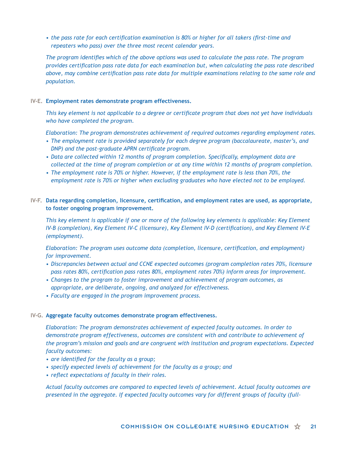*• the pass rate for each certification examination is 80% or higher for all takers (first-time and repeaters who pass) over the three most recent calendar years.*

*The program identifies which of the above options was used to calculate the pass rate. The program provides certification pass rate data for each examination but, when calculating the pass rate described above, may combine certification pass rate data for multiple examinations relating to the same role and population.*

### **IV-E. Employment rates demonstrate program effectiveness.**

*This key element is not applicable to a degree or certificate program that does not yet have individuals who have completed the program.* 

*Elaboration: The program demonstrates achievement of required outcomes regarding employment rates.*

- *• The employment rate is provided separately for each degree program (baccalaureate, master's, and DNP) and the post-graduate APRN certificate program.*
- *• Data are collected within 12 months of program completion. Specifically, employment data are collected at the time of program completion or at any time within 12 months of program completion.*
- *• The employment rate is 70% or higher. However, if the employment rate is less than 70%, the employment rate is 70% or higher when excluding graduates who have elected not to be employed.*

### **IV-F. Data regarding completion, licensure, certification, and employment rates are used, as appropriate, to foster ongoing program improvement.**

*This key element is applicable if one or more of the following key elements is applicable: Key Element IV-B (completion), Key Element IV-C (licensure), Key Element IV-D (certification), and Key Element IV-E (employment).* 

*Elaboration: The program uses outcome data (completion, licensure, certification, and employment) for improvement.*

- *• Discrepancies between actual and CCNE expected outcomes (program completion rates 70%, licensure pass rates 80%, certification pass rates 80%, employment rates 70%) inform areas for improvement.*
- *• Changes to the program to foster improvement and achievement of program outcomes, as appropriate, are deliberate, ongoing, and analyzed for effectiveness.*
- *• Faculty are engaged in the program improvement process.*

### **IV-G. Aggregate faculty outcomes demonstrate program effectiveness.**

*Elaboration: The program demonstrates achievement of expected faculty outcomes. In order to demonstrate program effectiveness, outcomes are consistent with and contribute to achievement of the program's mission and goals and are congruent with institution and program expectations. Expected faculty outcomes:*

- *• are identified for the faculty as a group;*
- *• specify expected levels of achievement for the faculty as a group; and*
- *• reflect expectations of faculty in their roles.*

*Actual faculty outcomes are compared to expected levels of achievement. Actual faculty outcomes are presented in the aggregate. If expected faculty outcomes vary for different groups of faculty (full-*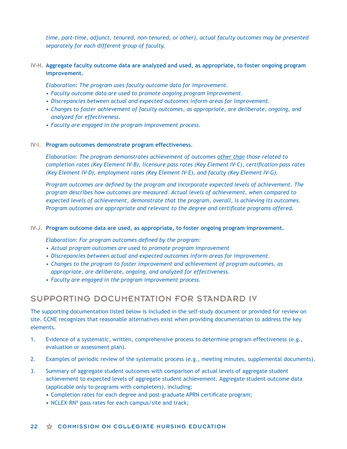*time, part-time, adjunct, tenured, non-tenured, or other), actual faculty outcomes may be presented separately for each different group of faculty.*

**IV-H. Aggregate faculty outcome data are analyzed and used, as appropriate, to foster ongoing program improvement.**

*Elaboration: The program uses faculty outcome data for improvement.*

- *• Faculty outcome data are used to promote ongoing program improvement.*
- *• Discrepancies between actual and expected outcomes inform areas for improvement.*
- *• Changes to foster achievement of faculty outcomes, as appropriate, are deliberate, ongoing, and analyzed for effectiveness.*
- *• Faculty are engaged in the program improvement process.*

#### **IV-I. Program outcomes demonstrate program effectiveness.**

*Elaboration: The program demonstrates achievement of outcomes other than those related to completion rates (Key Element IV-B), licensure pass rates (Key Element IV-C), certification pass rates (Key Element IV-D), employment rates (Key Element IV-E), and faculty (Key Element IV-G).* 

*Program outcomes are defined by the program and incorporate expected levels of achievement. The program describes how outcomes are measured. Actual levels of achievement, when compared to expected levels of achievement, demonstrate that the program, overall, is achieving its outcomes. Program outcomes are appropriate and relevant to the degree and certificate programs offered.*

#### **IV-J. Program outcome data are used, as appropriate, to foster ongoing program improvement.**

*Elaboration: For program outcomes defined by the program:*

- *• Actual program outcomes are used to promote program improvement*
- *• Discrepancies between actual and expected outcomes inform areas for improvement.*
- *• Changes to the program to foster improvement and achievement of program outcomes, as appropriate, are deliberate, ongoing, and analyzed for effectiveness.*
- *• Faculty are engaged in the program improvement process.*

### SUPPORTING DOCUMENTATION FOR STANDARD IV

The supporting documentation listed below is included in the self-study document or provided for review on site. CCNE recognizes that reasonable alternatives exist when providing documentation to address the key elements.

- 1. Evidence of a systematic, written, comprehensive process to determine program effectiveness (e.g., evaluation or assessment plan).
- 2. Examples of periodic review of the systematic process (e.g., meeting minutes, supplemental documents).
- 3. Summary of aggregate student outcomes with comparison of actual levels of aggregate student achievement to expected levels of aggregate student achievement. Aggregate student outcome data (applicable only to programs with completers), including:
	- **•** Completion rates for each degree and post-graduate APRN certificate program;
	- **•** NCLEX-RN® pass rates for each campus/site and track;

#### $22 \quad \overleftrightarrow{\chi}$  COMMISSION ON COLLEGIATE NURSING EDUCATION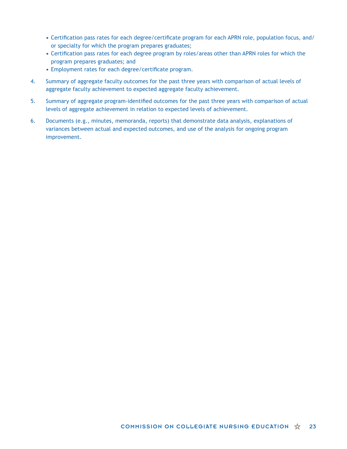- **•** Certification pass rates for each degree/certificate program for each APRN role, population focus, and/ or specialty for which the program prepares graduates;
- **•** Certification pass rates for each degree program by roles/areas other than APRN roles for which the program prepares graduates; and
- **•** Employment rates for each degree/certificate program.
- 4. Summary of aggregate faculty outcomes for the past three years with comparison of actual levels of aggregate faculty achievement to expected aggregate faculty achievement.
- 5. Summary of aggregate program-identified outcomes for the past three years with comparison of actual levels of aggregate achievement in relation to expected levels of achievement.
- 6. Documents (e.g., minutes, memoranda, reports) that demonstrate data analysis, explanations of variances between actual and expected outcomes, and use of the analysis for ongoing program improvement.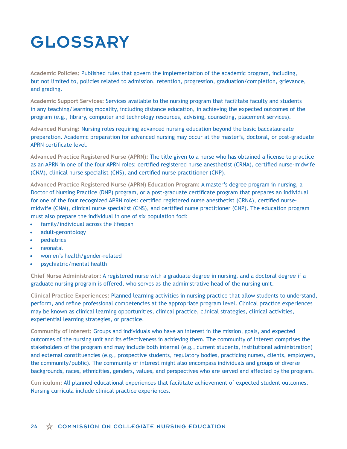# GLOSSARY

**Academic Policies:** Published rules that govern the implementation of the academic program, including, but not limited to, policies related to admission, retention, progression, graduation/completion, grievance, and grading.

**Academic Support Services:** Services available to the nursing program that facilitate faculty and students in any teaching/learning modality, including distance education, in achieving the expected outcomes of the program (e.g., library, computer and technology resources, advising, counseling, placement services).

**Advanced Nursing:** Nursing roles requiring advanced nursing education beyond the basic baccalaureate preparation. Academic preparation for advanced nursing may occur at the master's, doctoral, or post-graduate APRN certificate level.

**Advanced Practice Registered Nurse (APRN):** The title given to a nurse who has obtained a license to practice as an APRN in one of the four APRN roles: certified registered nurse anesthetist (CRNA), certified nurse-midwife (CNM), clinical nurse specialist (CNS), and certified nurse practitioner (CNP).

**Advanced Practice Registered Nurse (APRN) Education Program:** A master's degree program in nursing, a Doctor of Nursing Practice (DNP) program, or a post-graduate certificate program that prepares an individual for one of the four recognized APRN roles: certified registered nurse anesthetist (CRNA), certified nursemidwife (CNM), clinical nurse specialist (CNS), and certified nurse practitioner (CNP). The education program must also prepare the individual in one of six population foci:

- **•** family/individual across the lifespan
- **•** adult-gerontology
- **•** pediatrics
- **•** neonatal
- **•** women's health/gender-related
- **•** psychiatric/mental health

**Chief Nurse Administrator:** A registered nurse with a graduate degree in nursing, and a doctoral degree if a graduate nursing program is offered, who serves as the administrative head of the nursing unit.

**Clinical Practice Experiences:** Planned learning activities in nursing practice that allow students to understand, perform, and refine professional competencies at the appropriate program level. Clinical practice experiences may be known as clinical learning opportunities, clinical practice, clinical strategies, clinical activities, experiential learning strategies, or practice.

**Community of Interest:** Groups and individuals who have an interest in the mission, goals, and expected outcomes of the nursing unit and its effectiveness in achieving them. The community of interest comprises the stakeholders of the program and may include both internal (e.g., current students, institutional administration) and external constituencies (e.g., prospective students, regulatory bodies, practicing nurses, clients, employers, the community/public). The community of interest might also encompass individuals and groups of diverse backgrounds, races, ethnicities, genders, values, and perspectives who are served and affected by the program.

**Curriculum:** All planned educational experiences that facilitate achievement of expected student outcomes. Nursing curricula include clinical practice experiences.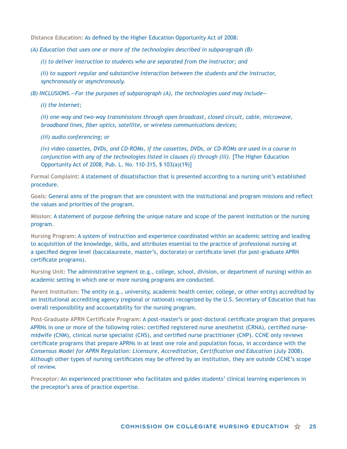**Distance Education:** As defined by the Higher Education Opportunity Act of 2008:

*(A) Education that uses one or more of the technologies described in subparagraph (B)–*

*(i) to deliver instruction to students who are separated from the instructor; and*

*(ii) to support regular and substantive interaction between the students and the instructor, synchronously or asynchronously.*

*(B) INCLUSIONS.—For the purposes of subparagraph (A), the technologies used may include—*

*(i) the Internet;*

*(ii) one-way and two-way transmissions through open broadcast, closed circuit, cable, microwave, broadband lines, fiber optics, satellite, or wireless communications devices;*

*(iii) audio conferencing; or*

*(iv) video cassettes, DVDs, and CD–ROMs, if the cassettes, DVDs, or CD–ROMs are used in a course in conjunction with any of the technologies listed in clauses (i) through (iii).* [The Higher Education Opportunity Act of 2008, Pub. L. No. 110-315, § 103(a)(19)]

**Formal Complaint:** A statement of dissatisfaction that is presented according to a nursing unit's established procedure.

**Goals:** General aims of the program that are consistent with the institutional and program missions and reflect the values and priorities of the program.

**Mission:** A statement of purpose defining the unique nature and scope of the parent institution or the nursing program.

**Nursing Program:** A system of instruction and experience coordinated within an academic setting and leading to acquisition of the knowledge, skills, and attributes essential to the practice of professional nursing at a specified degree level (baccalaureate, master's, doctorate) or certificate level (for post-graduate APRN certificate programs).

**Nursing Unit:** The administrative segment (e.g., college, school, division, or department of nursing) within an academic setting in which one or more nursing programs are conducted.

**Parent Institution:** The entity (e.g., university, academic health center, college, or other entity) accredited by an institutional accrediting agency (regional or national) recognized by the U.S. Secretary of Education that has overall responsibility and accountability for the nursing program.

**Post-Graduate APRN Certificate Program:** A post-master's or post-doctoral certificate program that prepares APRNs in one or more of the following roles: certified registered nurse anesthetist (CRNA), certified nursemidwife (CNM), clinical nurse specialist (CNS), and certified nurse practitioner (CNP). CCNE only reviews certificate programs that prepare APRNs in at least one role and population focus, in accordance with the *Consensus Model for APRN Regulation: Licensure, Accreditation, Certification and Education* (July 2008). Although other types of nursing certificates may be offered by an institution, they are outside CCNE's scope of review.

**Preceptor:** An experienced practitioner who facilitates and guides students' clinical learning experiences in the preceptor's area of practice expertise.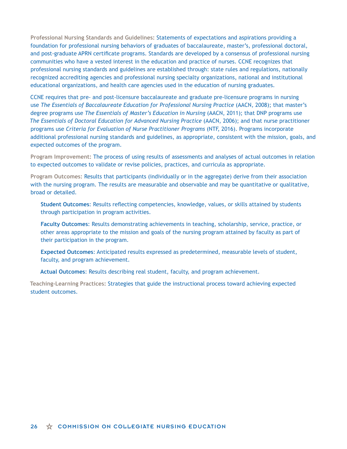**Professional Nursing Standards and Guidelines:** Statements of expectations and aspirations providing a foundation for professional nursing behaviors of graduates of baccalaureate, master's, professional doctoral, and post-graduate APRN certificate programs. Standards are developed by a consensus of professional nursing communities who have a vested interest in the education and practice of nurses. CCNE recognizes that professional nursing standards and guidelines are established through: state rules and regulations, nationally recognized accrediting agencies and professional nursing specialty organizations, national and institutional educational organizations, and health care agencies used in the education of nursing graduates.

CCNE requires that pre- and post-licensure baccalaureate and graduate pre-licensure programs in nursing use *The Essentials of Baccalaureate Education for Professional Nursing Practice* (AACN, 2008); that master's degree programs use *The Essentials of Master's Education in Nursing* (AACN, 2011); that DNP programs use *The Essentials of Doctoral Education for Advanced Nursing Practice* (AACN, 2006); and that nurse practitioner programs use *Criteria for Evaluation of Nurse Practitioner Programs* (NTF, 2016). Programs incorporate additional professional nursing standards and guidelines, as appropriate, consistent with the mission, goals, and expected outcomes of the program.

**Program Improvement:** The process of using results of assessments and analyses of actual outcomes in relation to expected outcomes to validate or revise policies, practices, and curricula as appropriate.

**Program Outcomes:** Results that participants (individually or in the aggregate) derive from their association with the nursing program. The results are measurable and observable and may be quantitative or qualitative, broad or detailed.

**Student Outcomes**: Results reflecting competencies, knowledge, values, or skills attained by students through participation in program activities.

**Faculty Outcomes**: Results demonstrating achievements in teaching, scholarship, service, practice, or other areas appropriate to the mission and goals of the nursing program attained by faculty as part of their participation in the program.

**Expected Outcomes**: Anticipated results expressed as predetermined, measurable levels of student, faculty, and program achievement.

**Actual Outcomes**: Results describing real student, faculty, and program achievement.

**Teaching-Learning Practices:** Strategies that guide the instructional process toward achieving expected student outcomes.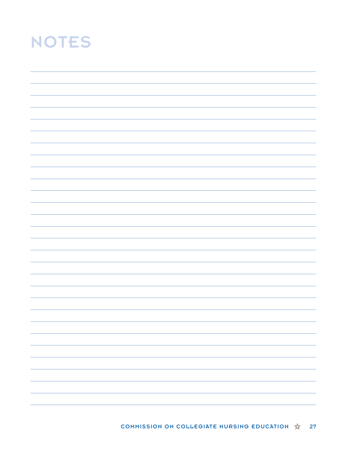# NOTES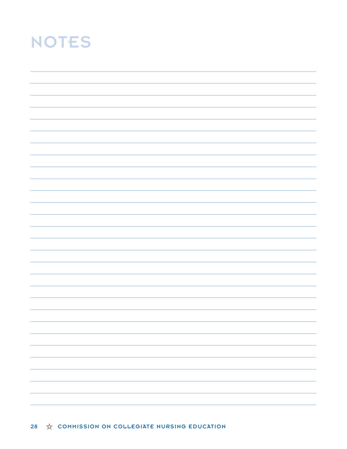# NOTES